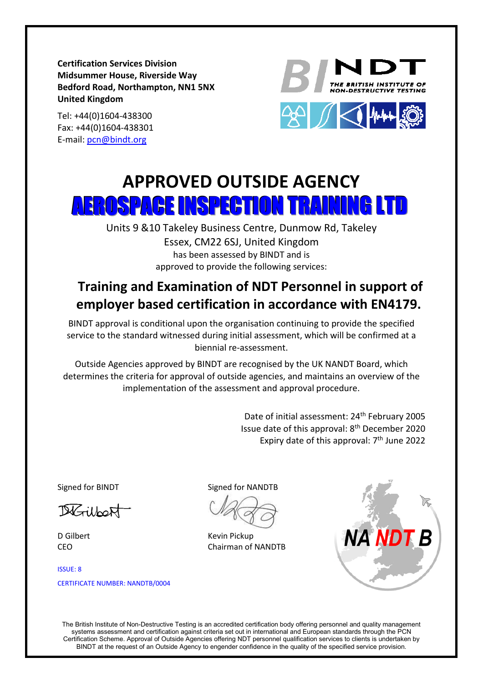**Certification Services Division Midsummer House, Riverside Way Bedford Road, Northampton, NN1 5NX United Kingdom**

Tel: +44(0)1604-438300 Fax: +44(0)1604-438301 E-mail: [pcn@bindt.org](mailto:pcn@bindt.org)





## **APPROVED OUTSIDE AGENCY** AEROSPACE INSPECTION TRAINING LTD

Units 9 &10 Takeley Business Centre, Dunmow Rd, Takeley Essex, CM22 6SJ, United Kingdom has been assessed by BINDT and is approved to provide the following services:

## **Training and Examination of NDT Personnel in support of employer based certification in accordance with EN4179.**

BINDT approval is conditional upon the organisation continuing to provide the specified service to the standard witnessed during initial assessment, which will be confirmed at a biennial re-assessment.

Outside Agencies approved by BINDT are recognised by the UK NANDT Board, which determines the criteria for approval of outside agencies, and maintains an overview of the implementation of the assessment and approval procedure.

> Date of initial assessment: 24<sup>th</sup> February 2005 Issue date of this approval: 8<sup>th</sup> December 2020 Expiry date of this approval:  $7<sup>th</sup>$  June 2022

DiGilbert

D Gilbert CEO

ISSUE: 8 CERTIFICATE NUMBER: NANDTB/0004

Signed for BINDT Signed for NANDTB

Kevin Pickup Chairman of NANDTB



The British Institute of Non-Destructive Testing is an accredited certification body offering personnel and quality management systems assessment and certification against criteria set out in international and European standards through the PCN Certification Scheme. Approval of Outside Agencies offering NDT personnel qualification services to clients is undertaken by BINDT at the request of an Outside Agency to engender confidence in the quality of the specified service provision.